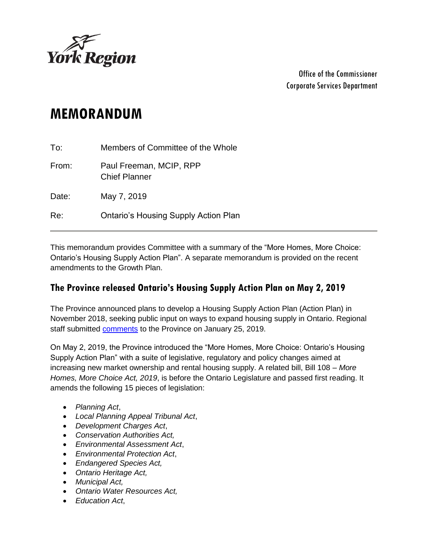

Office of the Commissioner Corporate Services Department

# **MEMORANDUM**

| To:   | Members of Committee of the Whole               |
|-------|-------------------------------------------------|
| From: | Paul Freeman, MCIP, RPP<br><b>Chief Planner</b> |
| Date: | May 7, 2019                                     |
| Re:   | <b>Ontario's Housing Supply Action Plan</b>     |

This memorandum provides Committee with a summary of the "More Homes, More Choice: Ontario's Housing Supply Action Plan". A separate memorandum is provided on the recent amendments to the Growth Plan.

### **The Province released Ontario's Housing Supply Action Plan on May 2, 2019**

The Province announced plans to develop a Housing Supply Action Plan (Action Plan) in November 2018, seeking public input on ways to expand housing supply in Ontario. Regional staff submitted [comments](https://yorkpublishing.escribemeetings.com/filestream.ashx?DocumentId=2652) to the Province on January 25, 2019.

On May 2, 2019, the Province introduced the "More Homes, More Choice: Ontario's Housing Supply Action Plan" with a suite of legislative, regulatory and policy changes aimed at increasing new market ownership and rental housing supply. A related bill, Bill 108 – *More Homes, More Choice Act, 2019*, is before the Ontario Legislature and passed first reading. It amends the following 15 pieces of legislation:

- *Planning Act*,
- *Local Planning Appeal Tribunal Act*,
- *Development Charges Act*,
- *Conservation Authorities Act,*
- *Environmental Assessment Act*,
- *Environmental Protection Act*,
- *Endangered Species Act,*
- *Ontario Heritage Act,*
- *Municipal Act,*
- *Ontario Water Resources Act,*
- *Education Act*,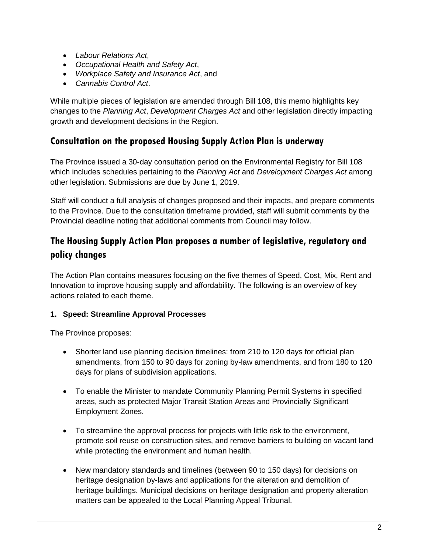- *Labour Relations Act*,
- *Occupational Health and Safety Act*,
- *Workplace Safety and Insurance Act*, and
- *Cannabis Control Act*.

While multiple pieces of legislation are amended through Bill 108, this memo highlights key changes to the *Planning Act*, *Development Charges Act* and other legislation directly impacting growth and development decisions in the Region.

# **Consultation on the proposed Housing Supply Action Plan is underway**

The Province issued a 30-day consultation period on the Environmental Registry for Bill 108 which includes schedules pertaining to the *Planning Act* and *Development Charges Act* among other legislation. Submissions are due by June 1, 2019.

Staff will conduct a full analysis of changes proposed and their impacts, and prepare comments to the Province. Due to the consultation timeframe provided, staff will submit comments by the Provincial deadline noting that additional comments from Council may follow.

# **The Housing Supply Action Plan proposes a number of legislative, regulatory and policy changes**

The Action Plan contains measures focusing on the five themes of Speed, Cost, Mix, Rent and Innovation to improve housing supply and affordability. The following is an overview of key actions related to each theme.

#### **1. Speed: Streamline Approval Processes**

The Province proposes:

- Shorter land use planning decision timelines: from 210 to 120 days for official plan amendments, from 150 to 90 days for zoning by-law amendments, and from 180 to 120 days for plans of subdivision applications.
- To enable the Minister to mandate Community Planning Permit Systems in specified areas, such as protected Major Transit Station Areas and Provincially Significant Employment Zones.
- To streamline the approval process for projects with little risk to the environment, promote soil reuse on construction sites, and remove barriers to building on vacant land while protecting the environment and human health.
- New mandatory standards and timelines (between 90 to 150 days) for decisions on heritage designation by-laws and applications for the alteration and demolition of heritage buildings. Municipal decisions on heritage designation and property alteration matters can be appealed to the Local Planning Appeal Tribunal.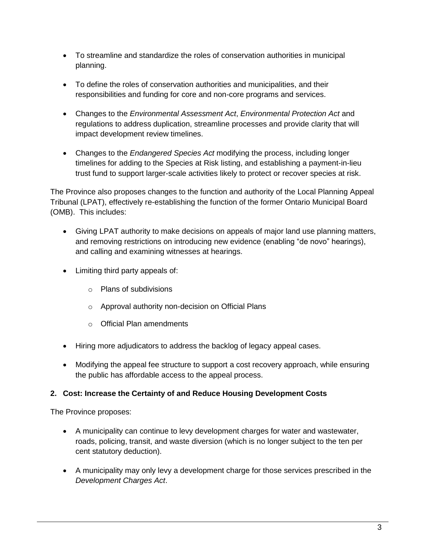- To streamline and standardize the roles of conservation authorities in municipal planning.
- To define the roles of conservation authorities and municipalities, and their responsibilities and funding for core and non-core programs and services.
- Changes to the *Environmental Assessment Act*, *Environmental Protection Act* and regulations to address duplication, streamline processes and provide clarity that will impact development review timelines.
- Changes to the *Endangered Species Act* modifying the process, including longer timelines for adding to the Species at Risk listing, and establishing a payment-in-lieu trust fund to support larger-scale activities likely to protect or recover species at risk.

The Province also proposes changes to the function and authority of the Local Planning Appeal Tribunal (LPAT), effectively re-establishing the function of the former Ontario Municipal Board (OMB). This includes:

- Giving LPAT authority to make decisions on appeals of major land use planning matters, and removing restrictions on introducing new evidence (enabling "de novo" hearings), and calling and examining witnesses at hearings.
- Limiting third party appeals of:
	- o Plans of subdivisions
	- o Approval authority non-decision on Official Plans
	- o Official Plan amendments
- Hiring more adjudicators to address the backlog of legacy appeal cases.
- Modifying the appeal fee structure to support a cost recovery approach, while ensuring the public has affordable access to the appeal process.

#### **2. Cost: Increase the Certainty of and Reduce Housing Development Costs**

The Province proposes:

- A municipality can continue to levy development charges for water and wastewater, roads, policing, transit, and waste diversion (which is no longer subject to the ten per cent statutory deduction).
- A municipality may only levy a development charge for those services prescribed in the *Development Charges Act*.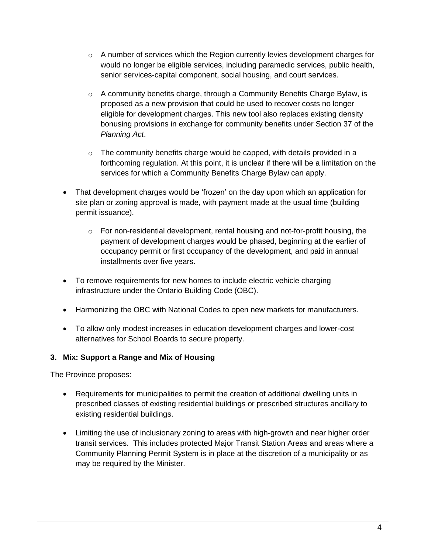- $\circ$  A number of services which the Region currently levies development charges for would no longer be eligible services, including paramedic services, public health, senior services-capital component, social housing, and court services.
- $\circ$  A community benefits charge, through a Community Benefits Charge Bylaw, is proposed as a new provision that could be used to recover costs no longer eligible for development charges. This new tool also replaces existing density bonusing provisions in exchange for community benefits under Section 37 of the *Planning Act*.
- $\circ$  The community benefits charge would be capped, with details provided in a forthcoming regulation. At this point, it is unclear if there will be a limitation on the services for which a Community Benefits Charge Bylaw can apply.
- That development charges would be 'frozen' on the day upon which an application for site plan or zoning approval is made, with payment made at the usual time (building permit issuance).
	- $\circ$  For non-residential development, rental housing and not-for-profit housing, the payment of development charges would be phased, beginning at the earlier of occupancy permit or first occupancy of the development, and paid in annual installments over five years.
- To remove requirements for new homes to include electric vehicle charging infrastructure under the Ontario Building Code (OBC).
- Harmonizing the OBC with National Codes to open new markets for manufacturers.
- To allow only modest increases in education development charges and lower-cost alternatives for School Boards to secure property.

#### **3. Mix: Support a Range and Mix of Housing**

The Province proposes:

- Requirements for municipalities to permit the creation of additional dwelling units in prescribed classes of existing residential buildings or prescribed structures ancillary to existing residential buildings.
- Limiting the use of inclusionary zoning to areas with high-growth and near higher order transit services. This includes protected Major Transit Station Areas and areas where a Community Planning Permit System is in place at the discretion of a municipality or as may be required by the Minister.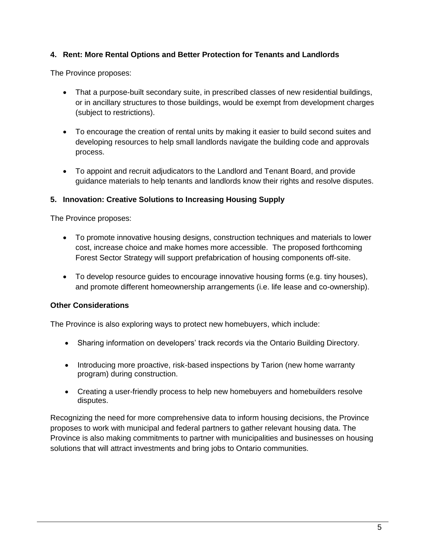#### **4. Rent: More Rental Options and Better Protection for Tenants and Landlords**

The Province proposes:

- That a purpose-built secondary suite, in prescribed classes of new residential buildings, or in ancillary structures to those buildings, would be exempt from development charges (subject to restrictions).
- To encourage the creation of rental units by making it easier to build second suites and developing resources to help small landlords navigate the building code and approvals process.
- To appoint and recruit adjudicators to the Landlord and Tenant Board, and provide guidance materials to help tenants and landlords know their rights and resolve disputes.

#### **5. Innovation: Creative Solutions to Increasing Housing Supply**

The Province proposes:

- To promote innovative housing designs, construction techniques and materials to lower cost, increase choice and make homes more accessible. The proposed forthcoming Forest Sector Strategy will support prefabrication of housing components off-site.
- To develop resource guides to encourage innovative housing forms (e.g. tiny houses), and promote different homeownership arrangements (i.e. life lease and co-ownership).

#### **Other Considerations**

The Province is also exploring ways to protect new homebuyers, which include:

- Sharing information on developers' track records via the Ontario Building Directory.
- Introducing more proactive, risk-based inspections by Tarion (new home warranty program) during construction.
- Creating a user-friendly process to help new homebuyers and homebuilders resolve disputes.

Recognizing the need for more comprehensive data to inform housing decisions, the Province proposes to work with municipal and federal partners to gather relevant housing data. The Province is also making commitments to partner with municipalities and businesses on housing solutions that will attract investments and bring jobs to Ontario communities.